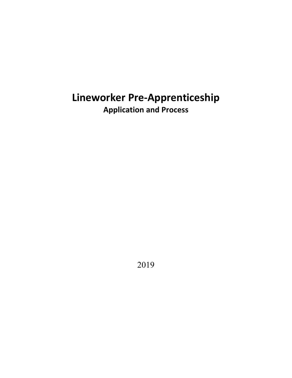# **Lineworker Pre-Apprenticeship Application and Process**

2019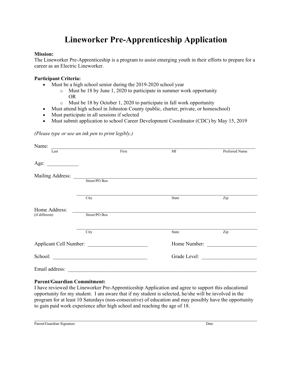## **Lineworker Pre-Apprenticeship Application**

#### **Mission:**

The Lineworker Pre-Apprenticeship is a program to assist emerging youth in their efforts to prepare for a career as an Electric Lineworker.

#### **Participant Criteria:**

- Must be a high school senior during the 2019-2020 school year
	- o Must be 18 by June 1, 2020 to participate in summer work opportunity OR
	- o Must be 18 by October 1, 2020 to participate in fall work opportunity
- Must attend high school in Johnston County (public, charter, private, or homeschool)
- Must participate in all sessions if selected
- Must submit application to school Career Development Coordinator (CDC) by May 15, 2019

#### *(Please type or use an ink pen to print legibly.)*

| Name:                                     |               |       |              |                |
|-------------------------------------------|---------------|-------|--------------|----------------|
| Last                                      |               | First | MI           | Preferred Name |
| Age:<br><u>and the state of the state</u> |               |       |              |                |
|                                           |               |       |              |                |
|                                           | Street/PO Box |       |              |                |
|                                           | City          |       | State        | Zip            |
| Home Address:<br>(if different)           | Street/PO Box |       |              |                |
|                                           | City          |       | State        | Zip            |
| Applicant Cell Number:                    |               |       | Home Number: |                |
|                                           | School:       |       |              | Grade Level:   |
| Email address:                            |               |       |              |                |

#### **Parent/Guardian Commitment:**

I have reviewed the Lineworker Pre-Apprenticeship Application and agree to support this educational opportunity for my student. I am aware that if my student is selected, he/she will be involved in the program for at least 10 Saturdays (non-consecutive) of education and may possibly have the opportunity to gain paid work experience after high school and reaching the age of 18.

 $\mathcal{L}_\mathcal{L} = \mathcal{L}_\mathcal{L} = \mathcal{L}_\mathcal{L} = \mathcal{L}_\mathcal{L} = \mathcal{L}_\mathcal{L} = \mathcal{L}_\mathcal{L} = \mathcal{L}_\mathcal{L} = \mathcal{L}_\mathcal{L} = \mathcal{L}_\mathcal{L} = \mathcal{L}_\mathcal{L} = \mathcal{L}_\mathcal{L} = \mathcal{L}_\mathcal{L} = \mathcal{L}_\mathcal{L} = \mathcal{L}_\mathcal{L} = \mathcal{L}_\mathcal{L} = \mathcal{L}_\mathcal{L} = \mathcal{L}_\mathcal{L}$ 

Parent/Guardian Signature Date by the United States of the United States of the United States of the United States of the United States of the United States of the United States of the United States of the United States of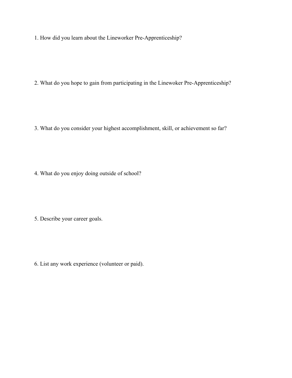1. How did you learn about the Lineworker Pre-Apprenticeship?

2. What do you hope to gain from participating in the Linewoker Pre-Apprenticeship?

3. What do you consider your highest accomplishment, skill, or achievement so far?

4. What do you enjoy doing outside of school?

5. Describe your career goals.

6. List any work experience (volunteer or paid).